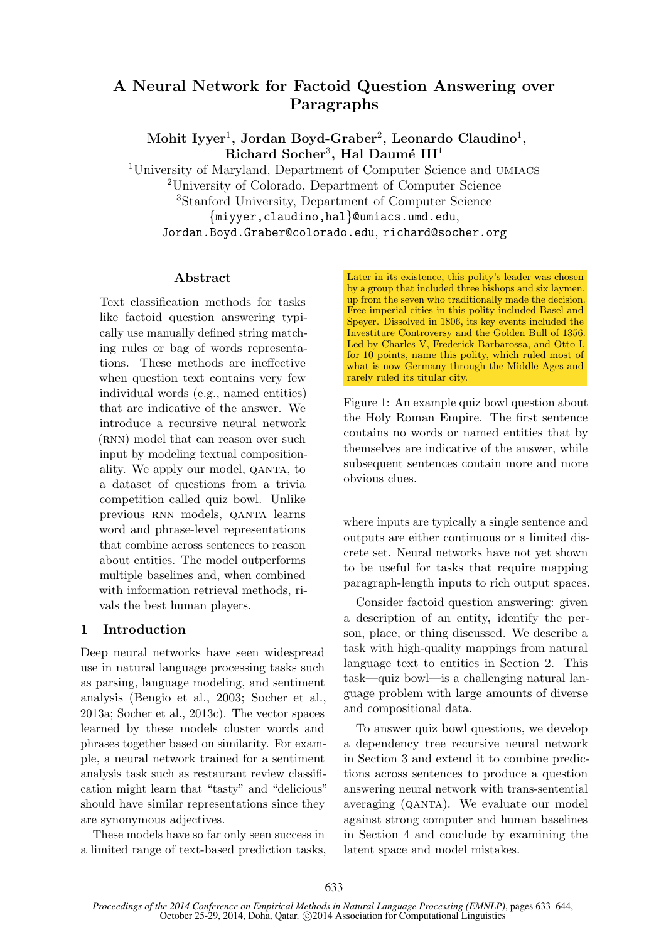# A Neural Network for Factoid Question Answering over Paragraphs

 $\mathrm{Mohit\ Iyyer^1, \ Jordan\ Boyd-Graber^2, \ Leonardo\ Claudino^1, }$  $Richard Socher<sup>3</sup>, Hal Daumé III<sup>1</sup>$ 

<sup>1</sup>University of Maryland, Department of Computer Science and umiacs <sup>2</sup>University of Colorado, Department of Computer Science <sup>3</sup>Stanford University, Department of Computer Science {miyyer,claudino,hal}@umiacs.umd.edu, Jordan.Boyd.Graber@colorado.edu, richard@socher.org

# Abstract

Text classification methods for tasks like factoid question answering typically use manually defined string matching rules or bag of words representations. These methods are ineffective when question text contains very few individual words (e.g., named entities) that are indicative of the answer. We introduce a recursive neural network (RNN) model that can reason over such input by modeling textual compositionality. We apply our model, qanta, to a dataset of questions from a trivia competition called quiz bowl. Unlike previous RNN models, QANTA learns word and phrase-level representations that combine across sentences to reason about entities. The model outperforms multiple baselines and, when combined with information retrieval methods, rivals the best human players.

# 1 Introduction

Deep neural networks have seen widespread use in natural language processing tasks such as parsing, language modeling, and sentiment analysis (Bengio et al., 2003; Socher et al., 2013a; Socher et al., 2013c). The vector spaces learned by these models cluster words and phrases together based on similarity. For example, a neural network trained for a sentiment analysis task such as restaurant review classification might learn that "tasty" and "delicious" should have similar representations since they are synonymous adjectives.

These models have so far only seen success in a limited range of text-based prediction tasks, Later in its existence, this polity's leader was chosen by a group that included three bishops and six laymen, up from the seven who traditionally made the decision. Free imperial cities in this polity included Basel and Speyer. Dissolved in 1806, its key events included the Investiture Controversy and the Golden Bull of 1356. Led by Charles V, Frederick Barbarossa, and Otto I, for 10 points, name this polity, which ruled most of what is now Germany through the Middle Ages and rarely ruled its titular city.

Figure 1: An example quiz bowl question about the Holy Roman Empire. The first sentence contains no words or named entities that by themselves are indicative of the answer, while subsequent sentences contain more and more obvious clues.

where inputs are typically a single sentence and outputs are either continuous or a limited discrete set. Neural networks have not yet shown to be useful for tasks that require mapping paragraph-length inputs to rich output spaces.

Consider factoid question answering: given a description of an entity, identify the person, place, or thing discussed. We describe a task with high-quality mappings from natural language text to entities in Section 2. This task—quiz bowl—is a challenging natural language problem with large amounts of diverse and compositional data.

To answer quiz bowl questions, we develop a dependency tree recursive neural network in Section 3 and extend it to combine predictions across sentences to produce a question answering neural network with trans-sentential averaging (qanta). We evaluate our model against strong computer and human baselines in Section 4 and conclude by examining the latent space and model mistakes.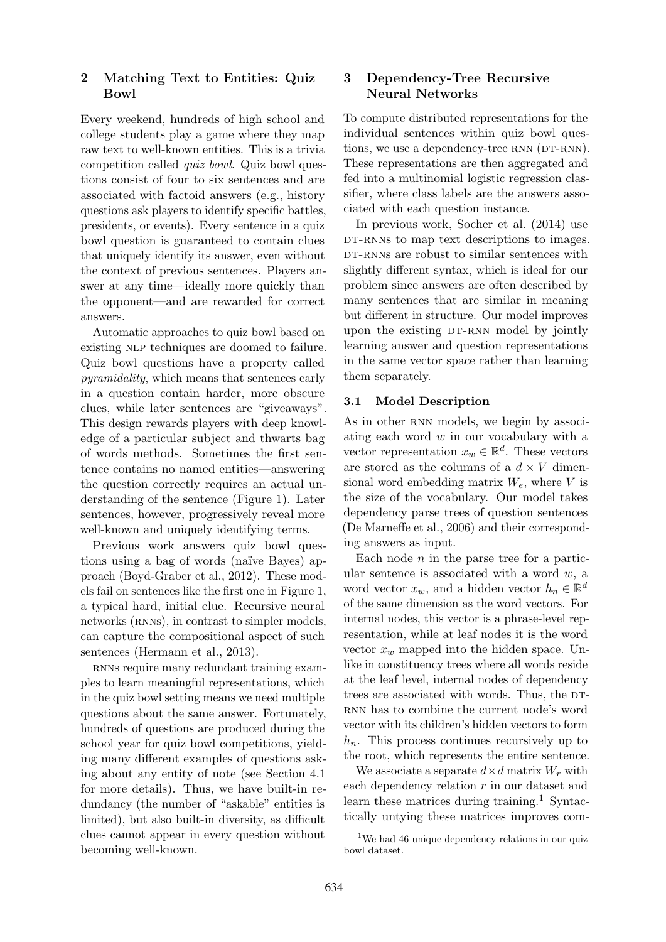# 2 Matching Text to Entities: Quiz Bowl

Every weekend, hundreds of high school and college students play a game where they map raw text to well-known entities. This is a trivia competition called quiz bowl. Quiz bowl questions consist of four to six sentences and are associated with factoid answers (e.g., history questions ask players to identify specific battles, presidents, or events). Every sentence in a quiz bowl question is guaranteed to contain clues that uniquely identify its answer, even without the context of previous sentences. Players answer at any time—ideally more quickly than the opponent—and are rewarded for correct answers.

Automatic approaches to quiz bowl based on existing NLP techniques are doomed to failure. Quiz bowl questions have a property called pyramidality, which means that sentences early in a question contain harder, more obscure clues, while later sentences are "giveaways". This design rewards players with deep knowledge of a particular subject and thwarts bag of words methods. Sometimes the first sentence contains no named entities—answering the question correctly requires an actual understanding of the sentence (Figure 1). Later sentences, however, progressively reveal more well-known and uniquely identifying terms.

Previous work answers quiz bowl questions using a bag of words (naïve Bayes) approach (Boyd-Graber et al., 2012). These models fail on sentences like the first one in Figure 1, a typical hard, initial clue. Recursive neural networks (RNNs), in contrast to simpler models, can capture the compositional aspect of such sentences (Hermann et al., 2013).

RNNs require many redundant training examples to learn meaningful representations, which in the quiz bowl setting means we need multiple questions about the same answer. Fortunately, hundreds of questions are produced during the school year for quiz bowl competitions, yielding many different examples of questions asking about any entity of note (see Section 4.1 for more details). Thus, we have built-in redundancy (the number of "askable" entities is limited), but also built-in diversity, as difficult clues cannot appear in every question without becoming well-known.

# 3 Dependency-Tree Recursive Neural Networks

To compute distributed representations for the individual sentences within quiz bowl questions, we use a dependency-tree RNN (DT-RNN). These representations are then aggregated and fed into a multinomial logistic regression classifier, where class labels are the answers associated with each question instance.

In previous work, Socher et al. (2014) use DT-RNNs to map text descriptions to images. DT-RNNs are robust to similar sentences with slightly different syntax, which is ideal for our problem since answers are often described by many sentences that are similar in meaning but different in structure. Our model improves upon the existing DT-RNN model by jointly learning answer and question representations in the same vector space rather than learning them separately.

# 3.1 Model Description

As in other RNN models, we begin by associating each word w in our vocabulary with a vector representation  $x_w \in \mathbb{R}^d$ . These vectors are stored as the columns of a  $d \times V$  dimensional word embedding matrix  $W_e$ , where V is the size of the vocabulary. Our model takes dependency parse trees of question sentences (De Marneffe et al., 2006) and their corresponding answers as input.

Each node  $n$  in the parse tree for a particular sentence is associated with a word  $w$ , a word vector  $x_w$ , and a hidden vector  $h_n \in \mathbb{R}^d$ of the same dimension as the word vectors. For internal nodes, this vector is a phrase-level representation, while at leaf nodes it is the word vector  $x_w$  mapped into the hidden space. Unlike in constituency trees where all words reside at the leaf level, internal nodes of dependency trees are associated with words. Thus, the DT-RNN has to combine the current node's word vector with its children's hidden vectors to form  $h_n$ . This process continues recursively up to the root, which represents the entire sentence.

We associate a separate  $d \times d$  matrix  $W_r$  with each dependency relation  $r$  in our dataset and learn these matrices during training.<sup>1</sup> Syntactically untying these matrices improves com-

<sup>&</sup>lt;sup>1</sup>We had 46 unique dependency relations in our quiz bowl dataset.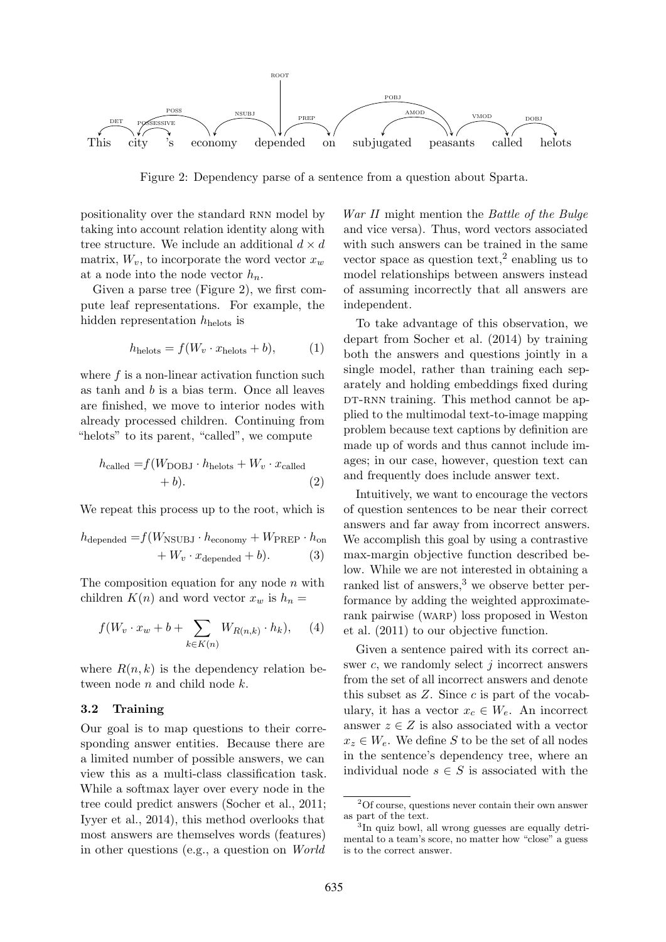

Figure 2: Dependency parse of a sentence from a question about Sparta.

positionality over the standard RNN model by taking into account relation identity along with tree structure. We include an additional  $d \times d$ matrix,  $W_v$ , to incorporate the word vector  $x_w$ at a node into the node vector  $h_n$ .

Given a parse tree (Figure 2), we first compute leaf representations. For example, the hidden representation  $h_{\text{helots}}$  is

$$
h_{\text{helots}} = f(W_v \cdot x_{\text{helots}} + b), \tag{1}
$$

where f is a non-linear activation function such as tanh and b is a bias term. Once all leaves are finished, we move to interior nodes with already processed children. Continuing from "helots" to its parent, "called", we compute

$$
h_{\text{called}} = f(W_{\text{DOBJ}} \cdot h_{\text{helots}} + W_v \cdot x_{\text{called}} + b). \tag{2}
$$

We repeat this process up to the root, which is

$$
h_{\text{depended}} = f(W_{\text{NSUBJ}} \cdot h_{\text{economy}} + W_{\text{PREF}} \cdot h_{\text{on}} + W_v \cdot x_{\text{depended}} + b). \tag{3}
$$

The composition equation for any node  $n$  with children  $K(n)$  and word vector  $x_w$  is  $h_n =$ 

$$
f(W_v \cdot x_w + b + \sum_{k \in K(n)} W_{R(n,k)} \cdot h_k), \quad (4)
$$

where  $R(n, k)$  is the dependency relation between node  $n$  and child node  $k$ .

#### 3.2 Training

Our goal is to map questions to their corresponding answer entities. Because there are a limited number of possible answers, we can view this as a multi-class classification task. While a softmax layer over every node in the tree could predict answers (Socher et al., 2011; Iyyer et al., 2014), this method overlooks that most answers are themselves words (features) in other questions (e.g., a question on World War II might mention the Battle of the Bulge and vice versa). Thus, word vectors associated with such answers can be trained in the same vector space as question text,<sup>2</sup> enabling us to model relationships between answers instead of assuming incorrectly that all answers are independent.

To take advantage of this observation, we depart from Socher et al. (2014) by training both the answers and questions jointly in a single model, rather than training each separately and holding embeddings fixed during DT-RNN training. This method cannot be applied to the multimodal text-to-image mapping problem because text captions by definition are made up of words and thus cannot include images; in our case, however, question text can and frequently does include answer text.

Intuitively, we want to encourage the vectors of question sentences to be near their correct answers and far away from incorrect answers. We accomplish this goal by using a contrastive max-margin objective function described below. While we are not interested in obtaining a ranked list of answers,<sup>3</sup> we observe better performance by adding the weighted approximaterank pairwise (warp) loss proposed in Weston et al. (2011) to our objective function.

Given a sentence paired with its correct answer  $c$ , we randomly select j incorrect answers from the set of all incorrect answers and denote this subset as  $Z$ . Since  $c$  is part of the vocabulary, it has a vector  $x_c \in W_e$ . An incorrect answer  $z \in Z$  is also associated with a vector  $x_z \in W_e$ . We define S to be the set of all nodes in the sentence's dependency tree, where an individual node  $s \in S$  is associated with the

<sup>2</sup>Of course, questions never contain their own answer as part of the text.

<sup>3</sup> In quiz bowl, all wrong guesses are equally detrimental to a team's score, no matter how "close" a guess is to the correct answer.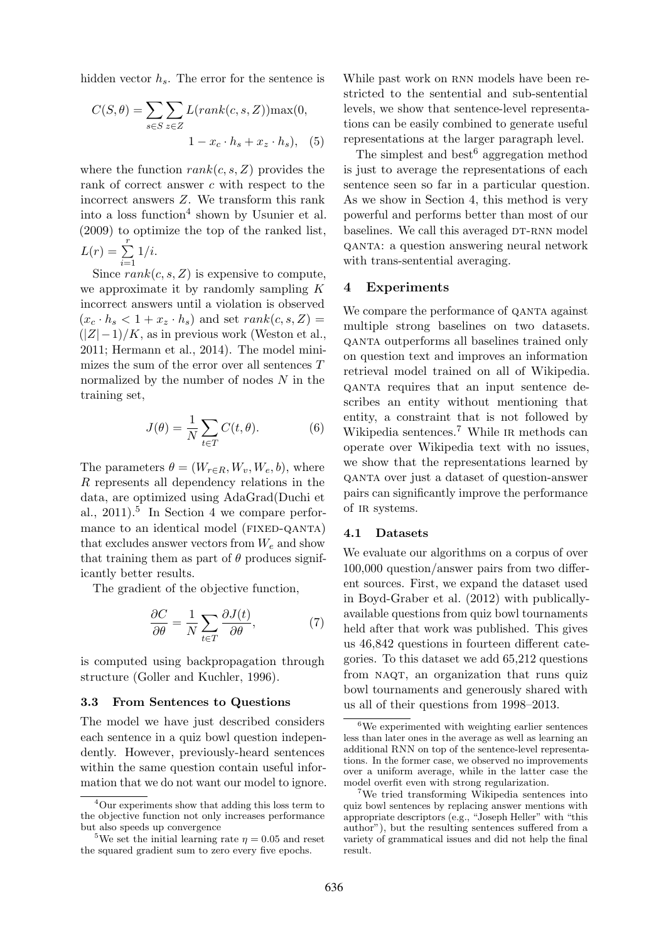hidden vector  $h_s$ . The error for the sentence is

$$
C(S, \theta) = \sum_{s \in S} \sum_{z \in Z} L(range(c, s, Z)) \max(0, \quad 1 - x_c \cdot h_s + x_z \cdot h_s), \quad (5)
$$

where the function  $rank(c, s, Z)$  provides the rank of correct answer c with respect to the incorrect answers Z. We transform this rank into a loss function<sup>4</sup> shown by Usunier et al. (2009) to optimize the top of the ranked list,  $L(r) = \sum^{r}$  $\frac{i=1}{i}$  $1/i$ .

Since  $rank(c, s, Z)$  is expensive to compute, we approximate it by randomly sampling K incorrect answers until a violation is observed  $(x_c \cdot h_s < 1 + x_z \cdot h_s)$  and set  $rank(c, s, Z)$  $(|Z|-1)/K$ , as in previous work (Weston et al., 2011; Hermann et al., 2014). The model minimizes the sum of the error over all sentences  $T$ normalized by the number of nodes  $N$  in the training set,

$$
J(\theta) = \frac{1}{N} \sum_{t \in T} C(t, \theta).
$$
 (6)

The parameters  $\theta = (W_{r \in R}, W_{v}, W_{e}, b)$ , where R represents all dependency relations in the data, are optimized using AdaGrad(Duchi et al.,  $2011$ .<sup>5</sup> In Section 4 we compare performance to an identical model (FIXED-QANTA) that excludes answer vectors from  $W_e$  and show that training them as part of  $\theta$  produces significantly better results.

The gradient of the objective function,

$$
\frac{\partial C}{\partial \theta} = \frac{1}{N} \sum_{t \in T} \frac{\partial J(t)}{\partial \theta},\tag{7}
$$

is computed using backpropagation through structure (Goller and Kuchler, 1996).

#### 3.3 From Sentences to Questions

The model we have just described considers each sentence in a quiz bowl question independently. However, previously-heard sentences within the same question contain useful information that we do not want our model to ignore. While past work on RNN models have been restricted to the sentential and sub-sentential levels, we show that sentence-level representations can be easily combined to generate useful representations at the larger paragraph level.

The simplest and best  $6$  aggregation method is just to average the representations of each sentence seen so far in a particular question. As we show in Section 4, this method is very powerful and performs better than most of our baselines. We call this averaged DT-RNN model qanta: a question answering neural network with trans-sentential averaging.

### 4 Experiments

We compare the performance of QANTA against multiple strong baselines on two datasets. qanta outperforms all baselines trained only on question text and improves an information retrieval model trained on all of Wikipedia. qanta requires that an input sentence describes an entity without mentioning that entity, a constraint that is not followed by Wikipedia sentences.<sup>7</sup> While IR methods can operate over Wikipedia text with no issues, we show that the representations learned by qanta over just a dataset of question-answer pairs can significantly improve the performance of ir systems.

#### 4.1 Datasets

We evaluate our algorithms on a corpus of over 100,000 question/answer pairs from two different sources. First, we expand the dataset used in Boyd-Graber et al. (2012) with publicallyavailable questions from quiz bowl tournaments held after that work was published. This gives us 46,842 questions in fourteen different categories. To this dataset we add 65,212 questions from NAQT, an organization that runs quiz bowl tournaments and generously shared with us all of their questions from 1998–2013.

<sup>&</sup>lt;sup>4</sup>Our experiments show that adding this loss term to the objective function not only increases performance but also speeds up convergence

<sup>&</sup>lt;sup>5</sup>We set the initial learning rate  $\eta = 0.05$  and reset the squared gradient sum to zero every five epochs.

 ${}^{6}$ We experimented with weighting earlier sentences less than later ones in the average as well as learning an additional RNN on top of the sentence-level representations. In the former case, we observed no improvements over a uniform average, while in the latter case the model overfit even with strong regularization.

<sup>&</sup>lt;sup>7</sup>We tried transforming Wikipedia sentences into quiz bowl sentences by replacing answer mentions with appropriate descriptors (e.g., "Joseph Heller" with "this author"), but the resulting sentences suffered from a variety of grammatical issues and did not help the final result.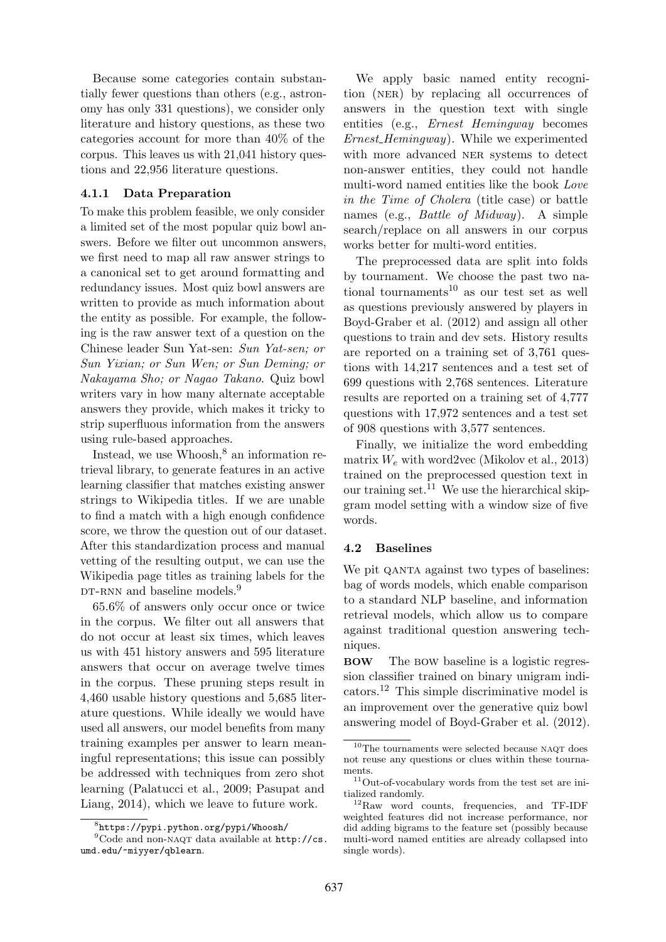Because some categories contain substantially fewer questions than others (e.g., astronomy has only 331 questions), we consider only literature and history questions, as these two categories account for more than 40% of the corpus. This leaves us with 21,041 history questions and 22,956 literature questions.

## 4.1.1 Data Preparation

To make this problem feasible, we only consider a limited set of the most popular quiz bowl answers. Before we filter out uncommon answers, we first need to map all raw answer strings to a canonical set to get around formatting and redundancy issues. Most quiz bowl answers are written to provide as much information about the entity as possible. For example, the following is the raw answer text of a question on the Chinese leader Sun Yat-sen: Sun Yat-sen; or Sun Yixian; or Sun Wen; or Sun Deming; or Nakayama Sho; or Nagao Takano. Quiz bowl writers vary in how many alternate acceptable answers they provide, which makes it tricky to strip superfluous information from the answers using rule-based approaches.

Instead, we use  $Whoosh<sup>8</sup>$  an information retrieval library, to generate features in an active learning classifier that matches existing answer strings to Wikipedia titles. If we are unable to find a match with a high enough confidence score, we throw the question out of our dataset. After this standardization process and manual vetting of the resulting output, we can use the Wikipedia page titles as training labels for the DT-RNN and baseline models.<sup>9</sup>

65.6% of answers only occur once or twice in the corpus. We filter out all answers that do not occur at least six times, which leaves us with 451 history answers and 595 literature answers that occur on average twelve times in the corpus. These pruning steps result in 4,460 usable history questions and 5,685 literature questions. While ideally we would have used all answers, our model benefits from many training examples per answer to learn meaningful representations; this issue can possibly be addressed with techniques from zero shot learning (Palatucci et al., 2009; Pasupat and Liang, 2014), which we leave to future work.

We apply basic named entity recognition (ner) by replacing all occurrences of answers in the question text with single entities (e.g., Ernest Hemingway becomes Ernest\_Hemingway). While we experimented with more advanced NER systems to detect non-answer entities, they could not handle multi-word named entities like the book Love in the Time of Cholera (title case) or battle names (e.g., Battle of Midway). A simple search/replace on all answers in our corpus works better for multi-word entities.

The preprocessed data are split into folds by tournament. We choose the past two national tournaments<sup>10</sup> as our test set as well as questions previously answered by players in Boyd-Graber et al. (2012) and assign all other questions to train and dev sets. History results are reported on a training set of 3,761 questions with 14,217 sentences and a test set of 699 questions with 2,768 sentences. Literature results are reported on a training set of 4,777 questions with 17,972 sentences and a test set of 908 questions with 3,577 sentences.

Finally, we initialize the word embedding matrix  $W_e$  with word2vec (Mikolov et al., 2013) trained on the preprocessed question text in our training set.<sup>11</sup> We use the hierarchical skipgram model setting with a window size of five words.

### 4.2 Baselines

We pit QANTA against two types of baselines: bag of words models, which enable comparison to a standard NLP baseline, and information retrieval models, which allow us to compare against traditional question answering techniques.

BOW The bow baseline is a logistic regression classifier trained on binary unigram indicators.<sup>12</sup> This simple discriminative model is an improvement over the generative quiz bowl answering model of Boyd-Graber et al. (2012).

<sup>8</sup> https://pypi.python.org/pypi/Whoosh/

<sup>&</sup>lt;sup>9</sup>Code and non-NAQT data available at http://cs. umd.edu/~miyyer/qblearn.

 $^{10}\mathrm{The}$  tournaments were selected because <code>NAQT</code> does not reuse any questions or clues within these tournaments.

 $\rm ^{11}Out$  -of-vocabulary words from the test set are initialized randomly.

<sup>12</sup>Raw word counts, frequencies, and TF-IDF weighted features did not increase performance, nor did adding bigrams to the feature set (possibly because multi-word named entities are already collapsed into single words).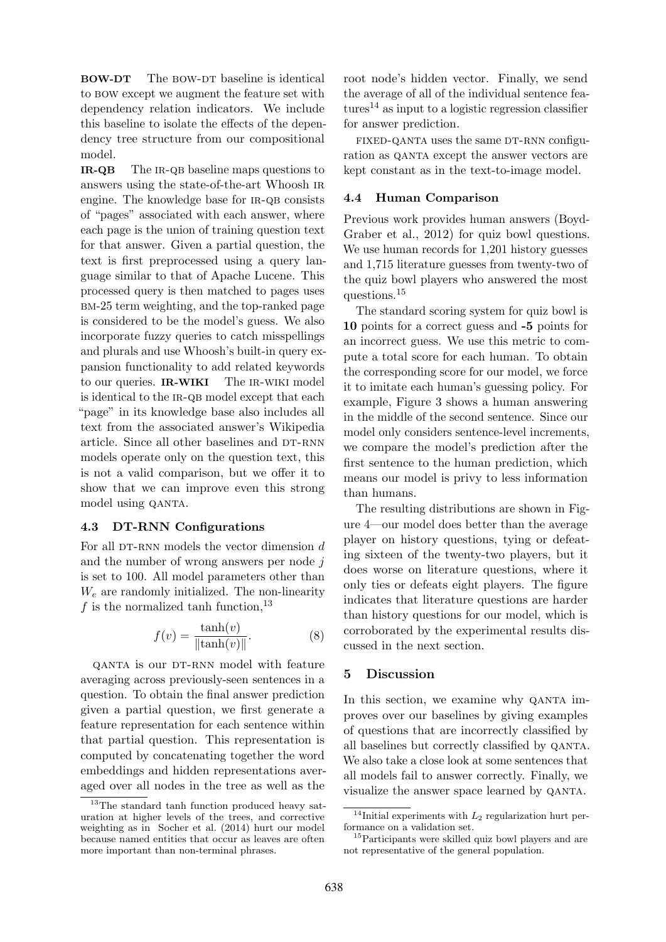BOW-DT The BOW-DT baseline is identical to bow except we augment the feature set with dependency relation indicators. We include this baseline to isolate the effects of the dependency tree structure from our compositional model.

IR-QB The IR-QB baseline maps questions to answers using the state-of-the-art Whoosh ir engine. The knowledge base for IR-QB consists of "pages" associated with each answer, where each page is the union of training question text for that answer. Given a partial question, the text is first preprocessed using a query language similar to that of Apache Lucene. This processed query is then matched to pages uses bm-25 term weighting, and the top-ranked page is considered to be the model's guess. We also incorporate fuzzy queries to catch misspellings and plurals and use Whoosh's built-in query expansion functionality to add related keywords to our queries. **IR-WIKI** The IR-WIKI model is identical to the IR-QB model except that each "page" in its knowledge base also includes all text from the associated answer's Wikipedia article. Since all other baselines and DT-RNN models operate only on the question text, this is not a valid comparison, but we offer it to show that we can improve even this strong model using QANTA.

### 4.3 DT-RNN Configurations

For all DT-RNN models the vector dimension  $d$ and the number of wrong answers per node j is set to 100. All model parameters other than  $W_e$  are randomly initialized. The non-linearity f is the normalized tanh function,  $^{13}$ 

$$
f(v) = \frac{\tanh(v)}{\|\tanh(v)\|}.
$$
 (8)

QANTA is our DT-RNN model with feature averaging across previously-seen sentences in a question. To obtain the final answer prediction given a partial question, we first generate a feature representation for each sentence within that partial question. This representation is computed by concatenating together the word embeddings and hidden representations averaged over all nodes in the tree as well as the

root node's hidden vector. Finally, we send the average of all of the individual sentence fea $tures<sup>14</sup>$  as input to a logistic regression classifier for answer prediction.

FIXED-QANTA uses the same DT-RNN configuration as QANTA except the answer vectors are kept constant as in the text-to-image model.

## 4.4 Human Comparison

Previous work provides human answers (Boyd-Graber et al., 2012) for quiz bowl questions. We use human records for 1,201 history guesses and 1,715 literature guesses from twenty-two of the quiz bowl players who answered the most questions.<sup>15</sup>

The standard scoring system for quiz bowl is 10 points for a correct guess and -5 points for an incorrect guess. We use this metric to compute a total score for each human. To obtain the corresponding score for our model, we force it to imitate each human's guessing policy. For example, Figure 3 shows a human answering in the middle of the second sentence. Since our model only considers sentence-level increments, we compare the model's prediction after the first sentence to the human prediction, which means our model is privy to less information than humans.

The resulting distributions are shown in Figure 4—our model does better than the average player on history questions, tying or defeating sixteen of the twenty-two players, but it does worse on literature questions, where it only ties or defeats eight players. The figure indicates that literature questions are harder than history questions for our model, which is corroborated by the experimental results discussed in the next section.

# 5 Discussion

In this section, we examine why QANTA improves over our baselines by giving examples of questions that are incorrectly classified by all baselines but correctly classified by qanta. We also take a close look at some sentences that all models fail to answer correctly. Finally, we visualize the answer space learned by qanta.

<sup>13</sup>The standard tanh function produced heavy saturation at higher levels of the trees, and corrective weighting as in Socher et al. (2014) hurt our model because named entities that occur as leaves are often more important than non-terminal phrases.

<sup>&</sup>lt;sup>14</sup>Initial experiments with  $L_2$  regularization hurt performance on a validation set.

<sup>&</sup>lt;sup>15</sup>Participants were skilled quiz bowl players and are not representative of the general population.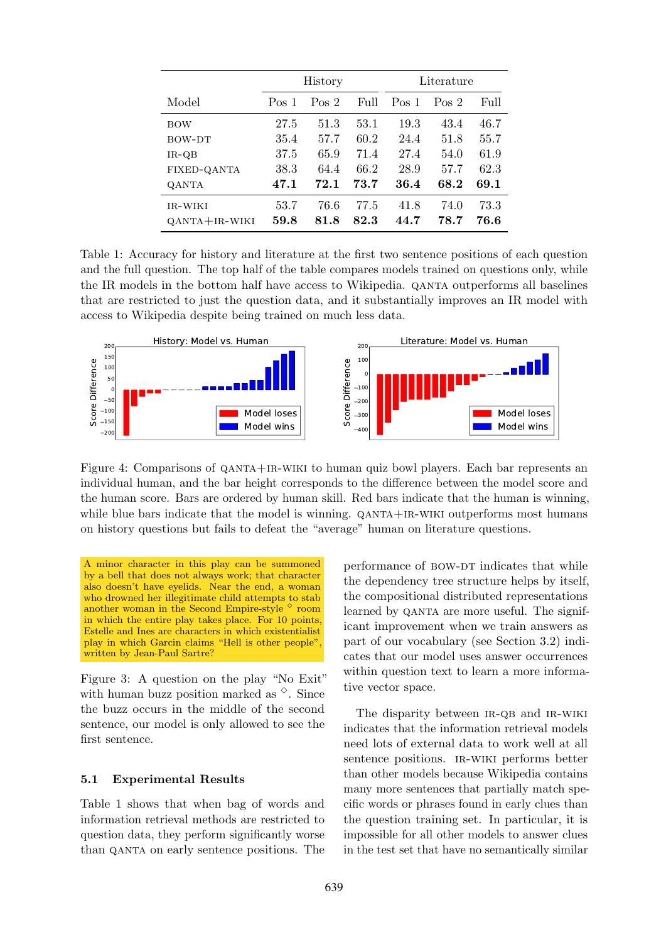|                    | History          |       |      | Literature       |       |      |
|--------------------|------------------|-------|------|------------------|-------|------|
| Model              | Pos <sub>1</sub> | Pos 2 | Full | Pos <sub>1</sub> | Pos 2 | Full |
| <b>BOW</b>         | 27.5             | 51.3  | 53.1 | 19.3             | 43.4  | 46.7 |
| BOW-DT             | 35.4             | 57.7  | 60.2 | 24.4             | 51.8  | 55.7 |
| $IR-QB$            | 37.5             | 65.9  | 71.4 | 27.4             | 54.0  | 61.9 |
| <b>FIXED-QANTA</b> | 38.3             | 64.4  | 66.2 | 28.9             | 57.7  | 62.3 |
| <b>OANTA</b>       | 47.1             | 72.1  | 73.7 | 36.4             | 68.2  | 69.1 |
| IR-WIKI            | 53.7             | 76.6  | 77.5 | 41.8             | 74.0  | 73.3 |
| $QANTA+IR-WIKI$    | 59.8             | 81.8  | 82.3 | 44.7             | 78.7  | 76.6 |

Table 1: Accuracy for history and literature at the first two sentence positions of each question and the full question. The top half of the table compares models trained on questions only, while the IR models in the bottom half have access to Wikipedia. qanta outperforms all baselines that are restricted to just the question data, and it substantially improves an IR model with access to Wikipedia despite being trained on much less data.



Figure 4: Comparisons of QANTA+IR-WIKI to human quiz bowl players. Each bar represents an individual human, and the bar height corresponds to the difference between the model score and the human score. Bars are ordered by human skill. Red bars indicate that the human is winning, while blue bars indicate that the model is winning. QANTA+IR-WIKI outperforms most humans on history questions but fails to defeat the "average" human on literature questions.

A minor character in this play can be summoned by a bell that does not always work; that character also doesn't have eyelids. Near the end, a woman who drowned her illegitimate child attempts to stab another woman in the Second Empire-style  $\diamond$  room in which the entire play takes place. For 10 points, Estelle and Ines are characters in which existentialist play in which Garcin claims "Hell is other people", written by Jean-Paul Sartre?

Figure 3: A question on the play "No Exit" with human buzz position marked as  $\degree$ . Since the buzz occurs in the middle of the second sentence, our model is only allowed to see the first sentence.

### 5.1 Experimental Results

Table 1 shows that when bag of words and information retrieval methods are restricted to question data, they perform significantly worse than qanta on early sentence positions. The

performance of BOW-DT indicates that while the dependency tree structure helps by itself, the compositional distributed representations learned by QANTA are more useful. The significant improvement when we train answers as part of our vocabulary (see Section 3.2) indicates that our model uses answer occurrences within question text to learn a more informative vector space.

The disparity between IR-QB and IR-WIKI indicates that the information retrieval models need lots of external data to work well at all sentence positions. ir-wiki performs better than other models because Wikipedia contains many more sentences that partially match specific words or phrases found in early clues than the question training set. In particular, it is impossible for all other models to answer clues in the test set that have no semantically similar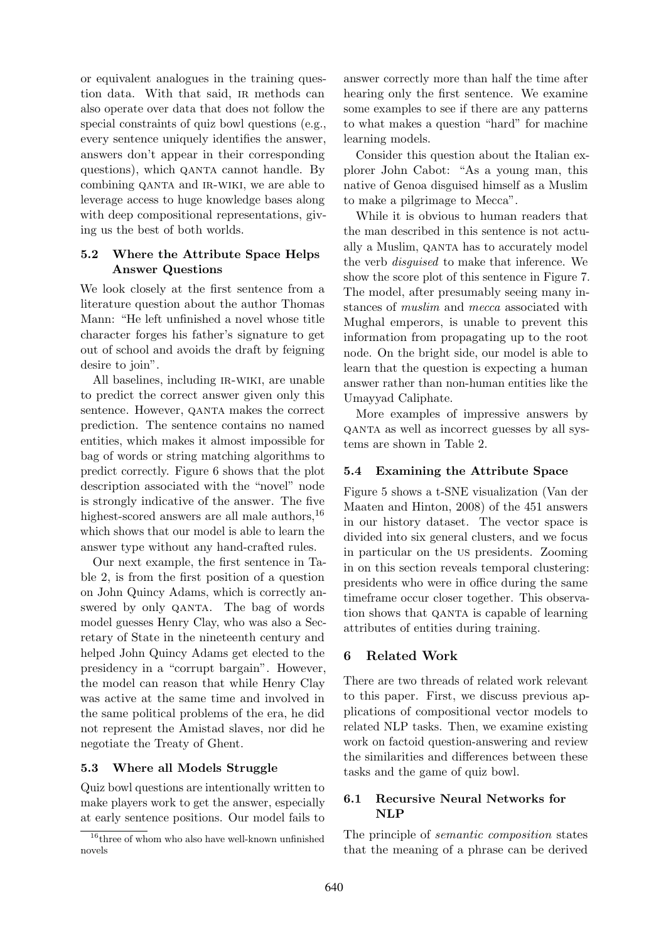or equivalent analogues in the training question data. With that said, ir methods can also operate over data that does not follow the special constraints of quiz bowl questions (e.g., every sentence uniquely identifies the answer, answers don't appear in their corresponding questions), which QANTA cannot handle. By combining QANTA and IR-WIKI, we are able to leverage access to huge knowledge bases along with deep compositional representations, giving us the best of both worlds.

# 5.2 Where the Attribute Space Helps Answer Questions

We look closely at the first sentence from a literature question about the author Thomas Mann: "He left unfinished a novel whose title character forges his father's signature to get out of school and avoids the draft by feigning desire to join".

All baselines, including IR-WIKI, are unable to predict the correct answer given only this sentence. However, QANTA makes the correct prediction. The sentence contains no named entities, which makes it almost impossible for bag of words or string matching algorithms to predict correctly. Figure 6 shows that the plot description associated with the "novel" node is strongly indicative of the answer. The five highest-scored answers are all male authors,  $^{16}$ which shows that our model is able to learn the answer type without any hand-crafted rules.

Our next example, the first sentence in Table 2, is from the first position of a question on John Quincy Adams, which is correctly answered by only QANTA. The bag of words model guesses Henry Clay, who was also a Secretary of State in the nineteenth century and helped John Quincy Adams get elected to the presidency in a "corrupt bargain". However, the model can reason that while Henry Clay was active at the same time and involved in the same political problems of the era, he did not represent the Amistad slaves, nor did he negotiate the Treaty of Ghent.

### 5.3 Where all Models Struggle

Quiz bowl questions are intentionally written to make players work to get the answer, especially at early sentence positions. Our model fails to

answer correctly more than half the time after hearing only the first sentence. We examine some examples to see if there are any patterns to what makes a question "hard" for machine learning models.

Consider this question about the Italian explorer John Cabot: "As a young man, this native of Genoa disguised himself as a Muslim to make a pilgrimage to Mecca".

While it is obvious to human readers that the man described in this sentence is not actually a Muslim, qanta has to accurately model the verb disguised to make that inference. We show the score plot of this sentence in Figure 7. The model, after presumably seeing many instances of muslim and mecca associated with Mughal emperors, is unable to prevent this information from propagating up to the root node. On the bright side, our model is able to learn that the question is expecting a human answer rather than non-human entities like the Umayyad Caliphate.

More examples of impressive answers by qanta as well as incorrect guesses by all systems are shown in Table 2.

# 5.4 Examining the Attribute Space

Figure 5 shows a t-SNE visualization (Van der Maaten and Hinton, 2008) of the 451 answers in our history dataset. The vector space is divided into six general clusters, and we focus in particular on the us presidents. Zooming in on this section reveals temporal clustering: presidents who were in office during the same timeframe occur closer together. This observation shows that QANTA is capable of learning attributes of entities during training.

### 6 Related Work

There are two threads of related work relevant to this paper. First, we discuss previous applications of compositional vector models to related NLP tasks. Then, we examine existing work on factoid question-answering and review the similarities and differences between these tasks and the game of quiz bowl.

# 6.1 Recursive Neural Networks for NLP

The principle of semantic composition states that the meaning of a phrase can be derived

 $16$ <sup>16</sup>three of whom who also have well-known unfinished novels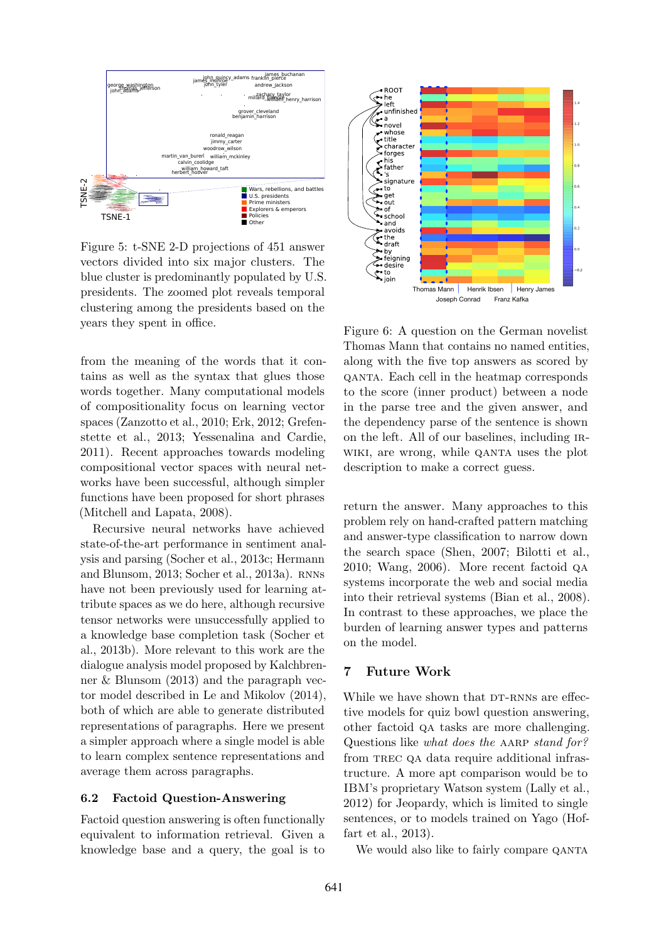

Figure 5: t-SNE 2-D projections of 451 answer vectors divided into six major clusters. The blue cluster is predominantly populated by U.S. presidents. The zoomed plot reveals temporal clustering among the presidents based on the years they spent in office.

from the meaning of the words that it contains as well as the syntax that glues those words together. Many computational models of compositionality focus on learning vector spaces (Zanzotto et al., 2010; Erk, 2012; Grefenstette et al., 2013; Yessenalina and Cardie, 2011). Recent approaches towards modeling compositional vector spaces with neural networks have been successful, although simpler functions have been proposed for short phrases (Mitchell and Lapata, 2008).

Recursive neural networks have achieved state-of-the-art performance in sentiment analysis and parsing (Socher et al., 2013c; Hermann and Blunsom, 2013; Socher et al., 2013a). RNNs have not been previously used for learning attribute spaces as we do here, although recursive tensor networks were unsuccessfully applied to a knowledge base completion task (Socher et al., 2013b). More relevant to this work are the dialogue analysis model proposed by Kalchbrenner & Blunsom (2013) and the paragraph vector model described in Le and Mikolov (2014), both of which are able to generate distributed representations of paragraphs. Here we present a simpler approach where a single model is able to learn complex sentence representations and average them across paragraphs.

#### 6.2 Factoid Question-Answering

Factoid question answering is often functionally equivalent to information retrieval. Given a knowledge base and a query, the goal is to



Figure 6: A question on the German novelist Thomas Mann that contains no named entities, along with the five top answers as scored by qanta. Each cell in the heatmap corresponds to the score (inner product) between a node in the parse tree and the given answer, and the dependency parse of the sentence is shown on the left. All of our baselines, including irwiki, are wrong, while QANTA uses the plot description to make a correct guess.

return the answer. Many approaches to this problem rely on hand-crafted pattern matching and answer-type classification to narrow down the search space (Shen, 2007; Bilotti et al., 2010; Wang, 2006). More recent factoid qa systems incorporate the web and social media into their retrieval systems (Bian et al., 2008). In contrast to these approaches, we place the burden of learning answer types and patterns on the model.

### 7 Future Work

While we have shown that DT-RNNs are effective models for quiz bowl question answering, other factoid qa tasks are more challenging. Questions like what does the AARP stand for? from trec qa data require additional infrastructure. A more apt comparison would be to IBM's proprietary Watson system (Lally et al., 2012) for Jeopardy, which is limited to single sentences, or to models trained on Yago (Hoffart et al., 2013).

We would also like to fairly compare QANTA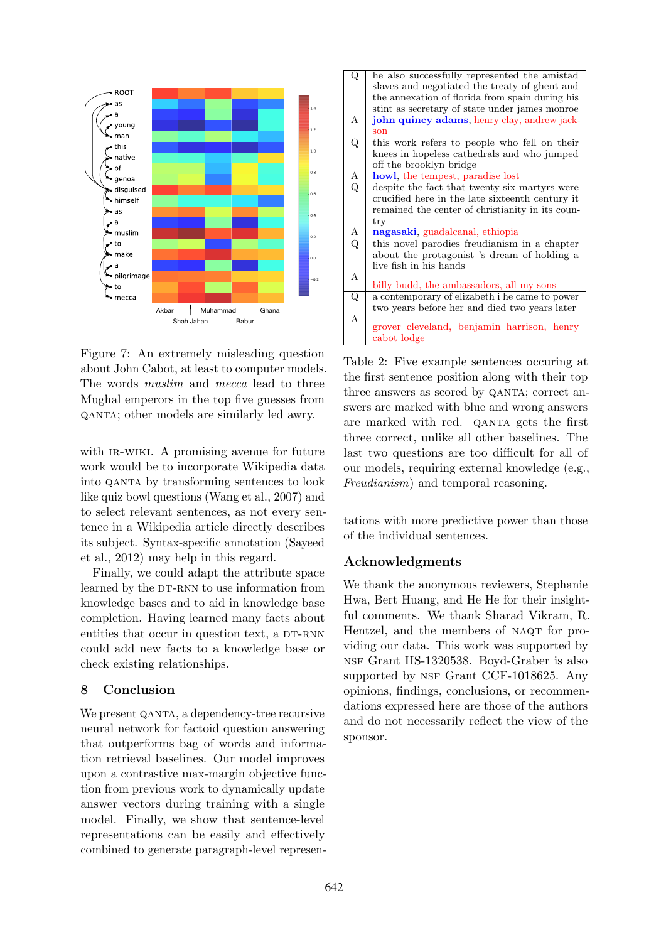

Figure 7: An extremely misleading question about John Cabot, at least to computer models. The words muslim and mecca lead to three Mughal emperors in the top five guesses from qanta; other models are similarly led awry.

with IR-WIKI. A promising avenue for future work would be to incorporate Wikipedia data into qanta by transforming sentences to look like quiz bowl questions (Wang et al., 2007) and to select relevant sentences, as not every sentence in a Wikipedia article directly describes its subject. Syntax-specific annotation (Sayeed et al., 2012) may help in this regard.

Finally, we could adapt the attribute space learned by the DT-RNN to use information from knowledge bases and to aid in knowledge base completion. Having learned many facts about entities that occur in question text, a DT-RNN could add new facts to a knowledge base or check existing relationships.

# 8 Conclusion

We present QANTA, a dependency-tree recursive neural network for factoid question answering that outperforms bag of words and information retrieval baselines. Our model improves upon a contrastive max-margin objective function from previous work to dynamically update answer vectors during training with a single model. Finally, we show that sentence-level representations can be easily and effectively combined to generate paragraph-level represen-

| $\overline{\mathrm{Q}}$ | he also successfully represented the amistad     |
|-------------------------|--------------------------------------------------|
|                         | slaves and negotiated the treaty of ghent and    |
|                         | the annexation of florida from spain during his  |
|                         | stint as secretary of state under james monroe   |
| А                       | john quincy adams, henry clay, andrew jack-      |
|                         |                                                  |
|                         | son                                              |
| $\overline{\mathrm{Q}}$ | this work refers to people who fell on their     |
|                         | knees in hopeless cathedrals and who jumped      |
|                         | off the brooklyn bridge                          |
| А                       | howl, the tempest, paradise lost                 |
| Q                       | despite the fact that twenty six martyrs were    |
|                         | crucified here in the late sixteenth century it  |
|                         |                                                  |
|                         | remained the center of christianity in its coun- |
|                         | try                                              |
| A                       | nagasaki, guadalcanal, ethiopia                  |
| Q                       | this novel parodies freudianism in a chapter     |
|                         | about the protagonist 's dream of holding a      |
|                         | live fish in his hands                           |
| А                       |                                                  |
|                         | billy budd, the ambassadors, all my sons         |
| $\overline{\mathrm{Q}}$ | a contemporary of elizabeth i he came to power   |
|                         |                                                  |
|                         | two years before her and died two years later    |
| A                       | grover cleveland, benjamin harrison, henry       |
|                         |                                                  |
|                         | cabot lodge                                      |

Table 2: Five example sentences occuring at the first sentence position along with their top three answers as scored by QANTA; correct answers are marked with blue and wrong answers are marked with red. QANTA gets the first three correct, unlike all other baselines. The last two questions are too difficult for all of our models, requiring external knowledge (e.g., Freudianism) and temporal reasoning.

tations with more predictive power than those of the individual sentences.

# Acknowledgments

We thank the anonymous reviewers, Stephanie Hwa, Bert Huang, and He He for their insightful comments. We thank Sharad Vikram, R. Hentzel, and the members of NAQT for providing our data. This work was supported by nsf Grant IIS-1320538. Boyd-Graber is also supported by NSF Grant CCF-1018625. Any opinions, findings, conclusions, or recommendations expressed here are those of the authors and do not necessarily reflect the view of the sponsor.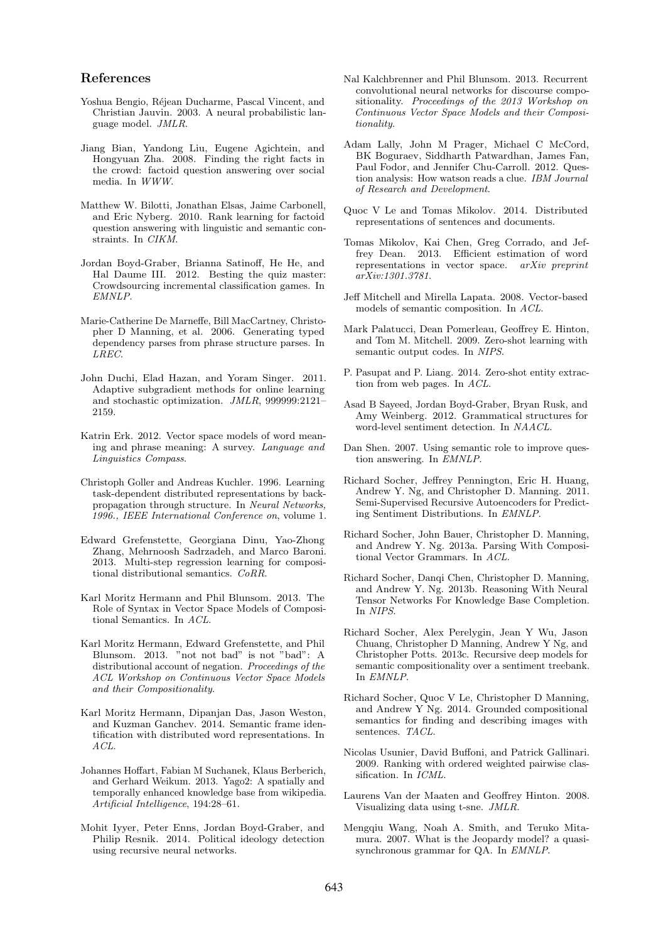#### References

- Yoshua Bengio, Réjean Ducharme, Pascal Vincent, and Christian Jauvin. 2003. A neural probabilistic language model. JMLR.
- Jiang Bian, Yandong Liu, Eugene Agichtein, and Hongyuan Zha. 2008. Finding the right facts in the crowd: factoid question answering over social media. In WWW.
- Matthew W. Bilotti, Jonathan Elsas, Jaime Carbonell, and Eric Nyberg. 2010. Rank learning for factoid question answering with linguistic and semantic constraints. In CIKM.
- Jordan Boyd-Graber, Brianna Satinoff, He He, and Hal Daume III. 2012. Besting the quiz master: Crowdsourcing incremental classification games. In EMNLP.
- Marie-Catherine De Marneffe, Bill MacCartney, Christopher D Manning, et al. 2006. Generating typed dependency parses from phrase structure parses. In LREC.
- John Duchi, Elad Hazan, and Yoram Singer. 2011. Adaptive subgradient methods for online learning and stochastic optimization. JMLR, 999999:2121– 2159.
- Katrin Erk. 2012. Vector space models of word meaning and phrase meaning: A survey. Language and Linguistics Compass.
- Christoph Goller and Andreas Kuchler. 1996. Learning task-dependent distributed representations by backpropagation through structure. In Neural Networks, 1996., IEEE International Conference on, volume 1.
- Edward Grefenstette, Georgiana Dinu, Yao-Zhong Zhang, Mehrnoosh Sadrzadeh, and Marco Baroni. 2013. Multi-step regression learning for compositional distributional semantics. CoRR.
- Karl Moritz Hermann and Phil Blunsom. 2013. The Role of Syntax in Vector Space Models of Compositional Semantics. In ACL.
- Karl Moritz Hermann, Edward Grefenstette, and Phil Blunsom. 2013. "not not bad" is not "bad": A distributional account of negation. Proceedings of the ACL Workshop on Continuous Vector Space Models and their Compositionality.
- Karl Moritz Hermann, Dipanjan Das, Jason Weston, and Kuzman Ganchev. 2014. Semantic frame identification with distributed word representations. In ACL.
- Johannes Hoffart, Fabian M Suchanek, Klaus Berberich, and Gerhard Weikum. 2013. Yago2: A spatially and temporally enhanced knowledge base from wikipedia. Artificial Intelligence, 194:28–61.
- Mohit Iyyer, Peter Enns, Jordan Boyd-Graber, and Philip Resnik. 2014. Political ideology detection using recursive neural networks.
- Nal Kalchbrenner and Phil Blunsom. 2013. Recurrent convolutional neural networks for discourse compositionality. Proceedings of the 2013 Workshop on Continuous Vector Space Models and their Compositionality.
- Adam Lally, John M Prager, Michael C McCord, BK Boguraev, Siddharth Patwardhan, James Fan, Paul Fodor, and Jennifer Chu-Carroll. 2012. Question analysis: How watson reads a clue. IBM Journal of Research and Development.
- Quoc V Le and Tomas Mikolov. 2014. Distributed representations of sentences and documents.
- Tomas Mikolov, Kai Chen, Greg Corrado, and Jeffrey Dean. 2013. Efficient estimation of word representations in vector space. arXiv preprint arXiv:1301.3781.
- Jeff Mitchell and Mirella Lapata. 2008. Vector-based models of semantic composition. In ACL.
- Mark Palatucci, Dean Pomerleau, Geoffrey E. Hinton, and Tom M. Mitchell. 2009. Zero-shot learning with semantic output codes. In NIPS.
- P. Pasupat and P. Liang. 2014. Zero-shot entity extraction from web pages. In ACL.
- Asad B Sayeed, Jordan Boyd-Graber, Bryan Rusk, and Amy Weinberg. 2012. Grammatical structures for word-level sentiment detection. In NAACL.
- Dan Shen. 2007. Using semantic role to improve question answering. In EMNLP.
- Richard Socher, Jeffrey Pennington, Eric H. Huang, Andrew Y. Ng, and Christopher D. Manning. 2011. Semi-Supervised Recursive Autoencoders for Predicting Sentiment Distributions. In EMNLP.
- Richard Socher, John Bauer, Christopher D. Manning, and Andrew Y. Ng. 2013a. Parsing With Compositional Vector Grammars. In ACL.
- Richard Socher, Danqi Chen, Christopher D. Manning, and Andrew Y. Ng. 2013b. Reasoning With Neural Tensor Networks For Knowledge Base Completion. In NIPS.
- Richard Socher, Alex Perelygin, Jean Y Wu, Jason Chuang, Christopher D Manning, Andrew Y Ng, and Christopher Potts. 2013c. Recursive deep models for semantic compositionality over a sentiment treebank. In EMNLP.
- Richard Socher, Quoc V Le, Christopher D Manning, and Andrew Y Ng. 2014. Grounded compositional semantics for finding and describing images with sentences. TACL.
- Nicolas Usunier, David Buffoni, and Patrick Gallinari. 2009. Ranking with ordered weighted pairwise classification. In ICML.
- Laurens Van der Maaten and Geoffrey Hinton. 2008. Visualizing data using t-sne. JMLR.
- Mengqiu Wang, Noah A. Smith, and Teruko Mitamura. 2007. What is the Jeopardy model? a quasisynchronous grammar for QA. In EMNLP.